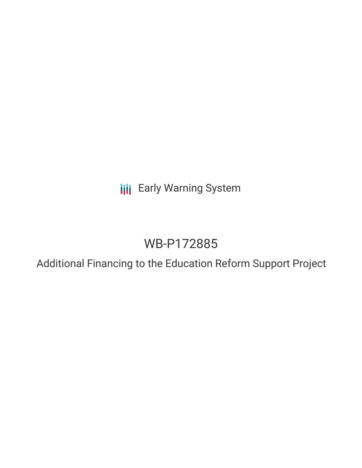**III** Early Warning System

## WB-P172885

Additional Financing to the Education Reform Support Project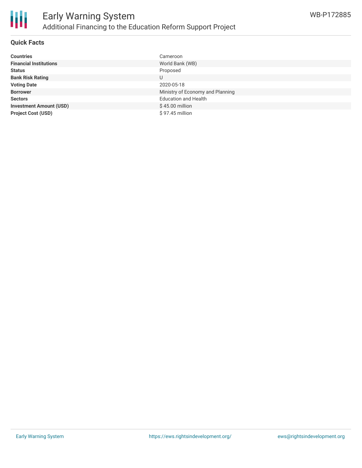

#### **Quick Facts**

| <b>Countries</b>               | Cameroon                         |
|--------------------------------|----------------------------------|
| <b>Financial Institutions</b>  | World Bank (WB)                  |
| <b>Status</b>                  | Proposed                         |
| <b>Bank Risk Rating</b>        | U                                |
| <b>Voting Date</b>             | 2020-05-18                       |
| <b>Borrower</b>                | Ministry of Economy and Planning |
| <b>Sectors</b>                 | <b>Education and Health</b>      |
| <b>Investment Amount (USD)</b> | $$45.00$ million                 |
| <b>Project Cost (USD)</b>      | \$97.45 million                  |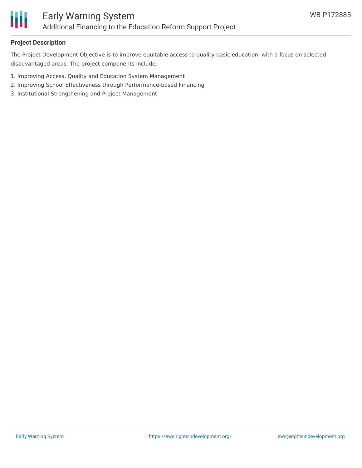

### **Project Description**

The Project Development Objective is to improve equitable access to quality basic education, with a focus on selected disadvantaged areas. The project components include;

- 1. Improving Access, Quality and Education System Management
- 2. Improving School Effectiveness through Performance-based Financing
- 3. Institutional Strengthening and Project Management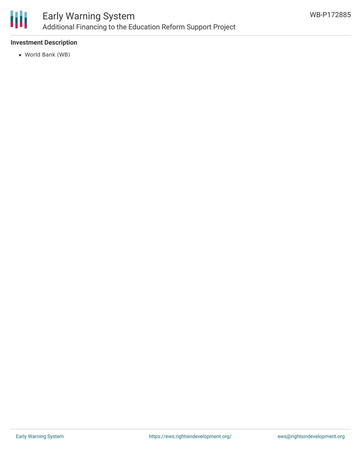

### **Investment Description**

World Bank (WB)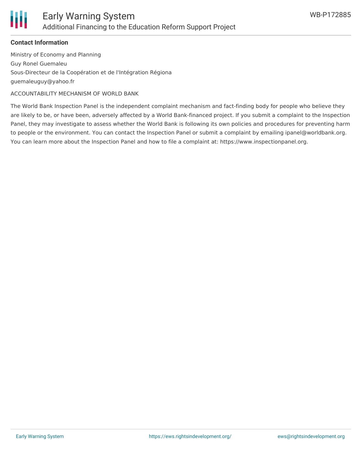

### **Contact Information**

Ministry of Economy and Planning Guy Ronel Guemaleu Sous-Directeur de la Coopération et de l'Intégration Régiona guemaleuguy@yahoo.fr

ACCOUNTABILITY MECHANISM OF WORLD BANK

The World Bank Inspection Panel is the independent complaint mechanism and fact-finding body for people who believe they are likely to be, or have been, adversely affected by a World Bank-financed project. If you submit a complaint to the Inspection Panel, they may investigate to assess whether the World Bank is following its own policies and procedures for preventing harm to people or the environment. You can contact the Inspection Panel or submit a complaint by emailing ipanel@worldbank.org. You can learn more about the Inspection Panel and how to file a complaint at: https://www.inspectionpanel.org.